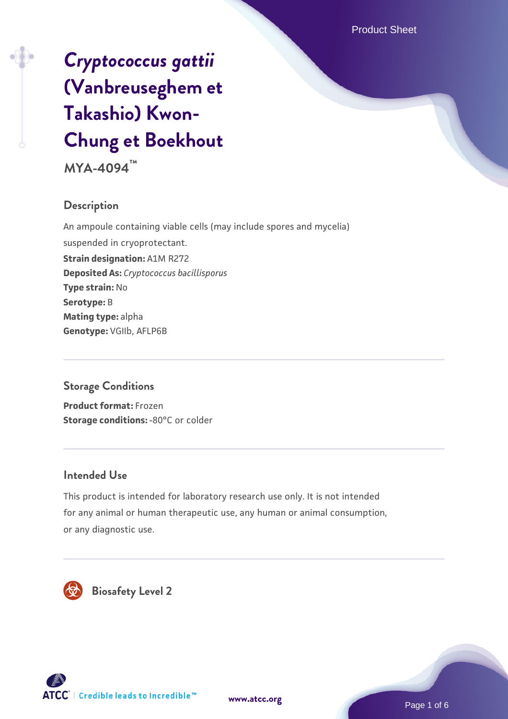# *[Cryptococcus gattii](https://www.atcc.org/products/mya-4094)* **[\(Vanbreuseghem et](https://www.atcc.org/products/mya-4094) [Takashio\) Kwon-](https://www.atcc.org/products/mya-4094)[Chung et Boekhout](https://www.atcc.org/products/mya-4094)**

**MYA-4094™**

### **Description**

An ampoule containing viable cells (may include spores and mycelia) suspended in cryoprotectant. **Strain designation:** A1M R272 **Deposited As:** *Cryptococcus bacillisporus* **Type strain:** No **Serotype:** B **Mating type:** alpha **Genotype:** VGIIb, AFLP6B

### **Storage Conditions**

**Product format:** Frozen **Storage conditions: -80°C or colder** 

### **Intended Use**

This product is intended for laboratory research use only. It is not intended for any animal or human therapeutic use, any human or animal consumption, or any diagnostic use.



 **Biosafety Level 2**





Page 1 of 6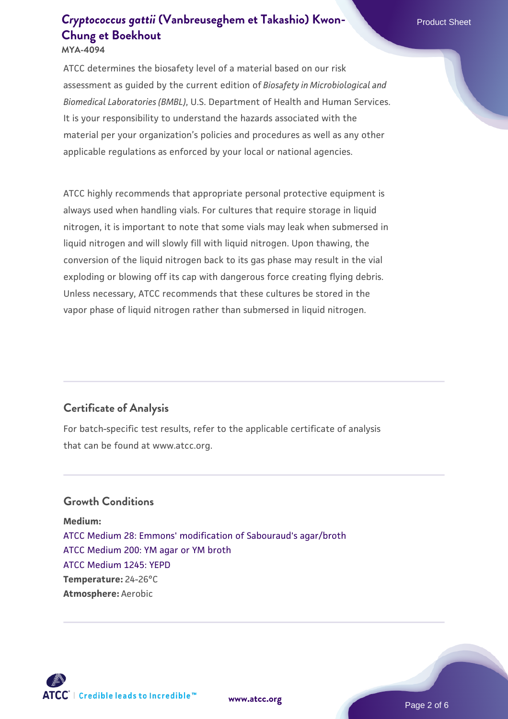# **[Cryptococcus gattii](https://www.atcc.org/products/mya-4094)** [\(Vanbreuseghem et Takashio\) Kwon-](https://www.atcc.org/products/mya-4094) **[Chung et Boekhout](https://www.atcc.org/products/mya-4094)**

**MYA-4094**

ATCC determines the biosafety level of a material based on our risk assessment as guided by the current edition of *Biosafety in Microbiological and Biomedical Laboratories (BMBL)*, U.S. Department of Health and Human Services. It is your responsibility to understand the hazards associated with the material per your organization's policies and procedures as well as any other applicable regulations as enforced by your local or national agencies.

ATCC highly recommends that appropriate personal protective equipment is always used when handling vials. For cultures that require storage in liquid nitrogen, it is important to note that some vials may leak when submersed in liquid nitrogen and will slowly fill with liquid nitrogen. Upon thawing, the conversion of the liquid nitrogen back to its gas phase may result in the vial exploding or blowing off its cap with dangerous force creating flying debris. Unless necessary, ATCC recommends that these cultures be stored in the vapor phase of liquid nitrogen rather than submersed in liquid nitrogen.

### **Certificate of Analysis**

For batch-specific test results, refer to the applicable certificate of analysis that can be found at www.atcc.org.

### **Growth Conditions**

**Medium:**  [ATCC Medium 28: Emmons' modification of Sabouraud's agar/broth](https://www.atcc.org/-/media/product-assets/documents/microbial-media-formulations/2/8/atcc-medium-28.pdf?rev=0da0c58cc2a343eeae735016b70809bb) [ATCC Medium 200: YM agar or YM broth](https://www.atcc.org/-/media/product-assets/documents/microbial-media-formulations/2/0/0/atcc-medium-200.pdf?rev=ac40fd74dc13433a809367b0b9da30fc) [ATCC Medium 1245: YEPD](https://www.atcc.org/-/media/product-assets/documents/microbial-media-formulations/1/2/4/5/atcc-medium-1245.pdf?rev=705ca55d1b6f490a808a965d5c072196) **Temperature:** 24-26°C **Atmosphere:** Aerobic



**[www.atcc.org](http://www.atcc.org)**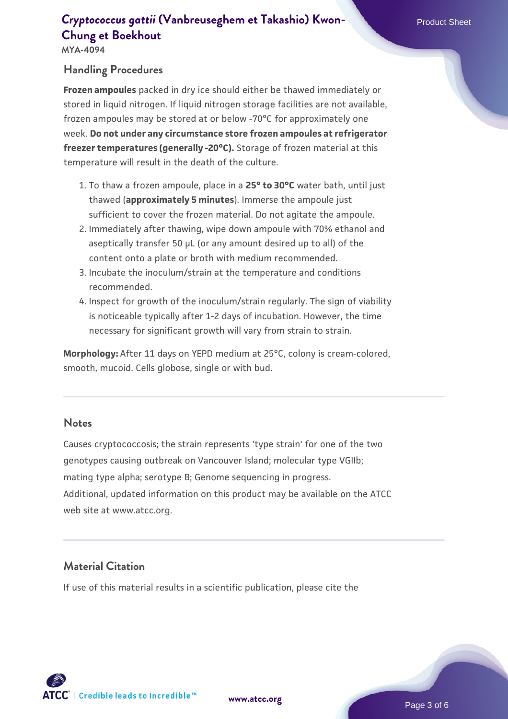### **[Cryptococcus gattii](https://www.atcc.org/products/mya-4094) [\(Vanbreuseghem et Takashio\) Kwon-](https://www.atcc.org/products/mya-4094) Product Sheet [Chung et Boekhout](https://www.atcc.org/products/mya-4094)**

**MYA-4094**

### **Handling Procedures**

**Frozen ampoules** packed in dry ice should either be thawed immediately or stored in liquid nitrogen. If liquid nitrogen storage facilities are not available, frozen ampoules may be stored at or below -70°C for approximately one week. **Do not under any circumstance store frozen ampoules at refrigerator freezer temperatures (generally -20°C).** Storage of frozen material at this temperature will result in the death of the culture.

- To thaw a frozen ampoule, place in a **25° to 30°C** water bath, until just 1. thawed (**approximately 5 minutes**). Immerse the ampoule just sufficient to cover the frozen material. Do not agitate the ampoule.
- 2. Immediately after thawing, wipe down ampoule with 70% ethanol and aseptically transfer 50 µL (or any amount desired up to all) of the content onto a plate or broth with medium recommended.
- Incubate the inoculum/strain at the temperature and conditions 3. recommended.
- 4. Inspect for growth of the inoculum/strain regularly. The sign of viability is noticeable typically after 1-2 days of incubation. However, the time necessary for significant growth will vary from strain to strain.

**Morphology:** After 11 days on YEPD medium at 25°C, colony is cream-colored, smooth, mucoid. Cells globose, single or with bud.

#### **Notes**

Causes cryptococcosis; the strain represents 'type strain' for one of the two genotypes causing outbreak on Vancouver Island; molecular type VGIIb; mating type alpha; serotype B; Genome sequencing in progress. Additional, updated information on this product may be available on the ATCC web site at www.atcc.org.

### **Material Citation**

If use of this material results in a scientific publication, please cite the



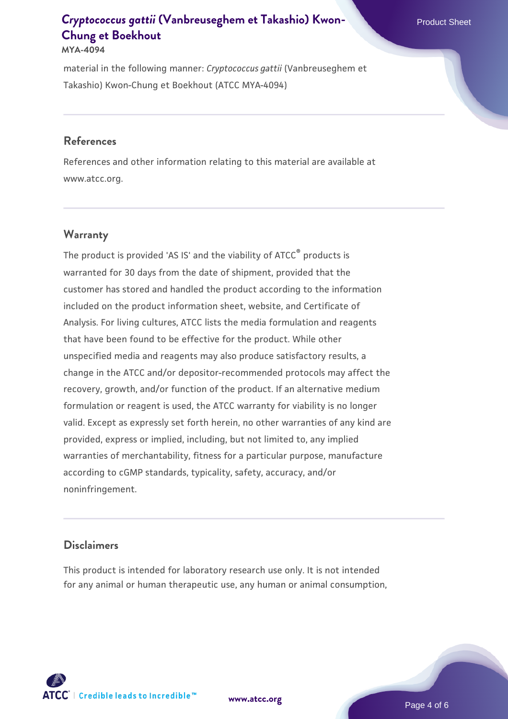## **[Cryptococcus gattii](https://www.atcc.org/products/mya-4094)** [\(Vanbreuseghem et Takashio\) Kwon-](https://www.atcc.org/products/mya-4094)**New American Product Sheet [Chung et Boekhout](https://www.atcc.org/products/mya-4094)**

#### **MYA-4094**

material in the following manner: *Cryptococcus gattii* (Vanbreuseghem et Takashio) Kwon-Chung et Boekhout (ATCC MYA-4094)

### **References**

References and other information relating to this material are available at www.atcc.org.

#### **Warranty**

The product is provided 'AS IS' and the viability of  $ATCC<sup>®</sup>$  products is warranted for 30 days from the date of shipment, provided that the customer has stored and handled the product according to the information included on the product information sheet, website, and Certificate of Analysis. For living cultures, ATCC lists the media formulation and reagents that have been found to be effective for the product. While other unspecified media and reagents may also produce satisfactory results, a change in the ATCC and/or depositor-recommended protocols may affect the recovery, growth, and/or function of the product. If an alternative medium formulation or reagent is used, the ATCC warranty for viability is no longer valid. Except as expressly set forth herein, no other warranties of any kind are provided, express or implied, including, but not limited to, any implied warranties of merchantability, fitness for a particular purpose, manufacture according to cGMP standards, typicality, safety, accuracy, and/or noninfringement.

#### **Disclaimers**

This product is intended for laboratory research use only. It is not intended for any animal or human therapeutic use, any human or animal consumption,



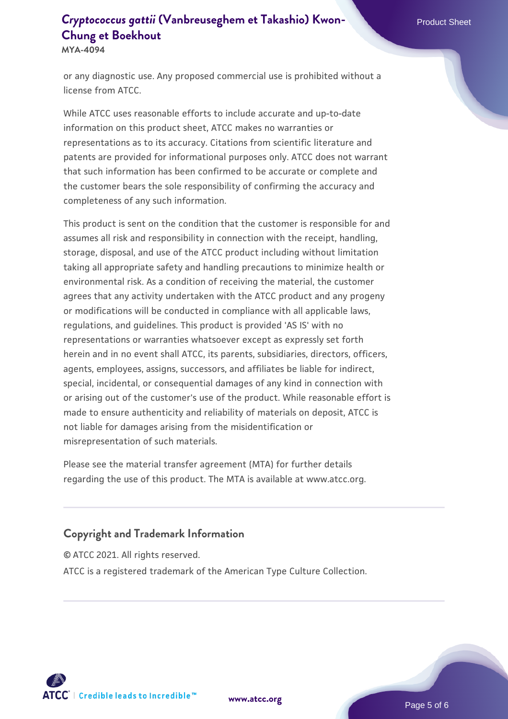## **[Cryptococcus gattii](https://www.atcc.org/products/mya-4094)** [\(Vanbreuseghem et Takashio\) Kwon-](https://www.atcc.org/products/mya-4094) Product Sheet **[Chung et Boekhout](https://www.atcc.org/products/mya-4094)**

**MYA-4094**

or any diagnostic use. Any proposed commercial use is prohibited without a license from ATCC.

While ATCC uses reasonable efforts to include accurate and up-to-date information on this product sheet, ATCC makes no warranties or representations as to its accuracy. Citations from scientific literature and patents are provided for informational purposes only. ATCC does not warrant that such information has been confirmed to be accurate or complete and the customer bears the sole responsibility of confirming the accuracy and completeness of any such information.

This product is sent on the condition that the customer is responsible for and assumes all risk and responsibility in connection with the receipt, handling, storage, disposal, and use of the ATCC product including without limitation taking all appropriate safety and handling precautions to minimize health or environmental risk. As a condition of receiving the material, the customer agrees that any activity undertaken with the ATCC product and any progeny or modifications will be conducted in compliance with all applicable laws, regulations, and guidelines. This product is provided 'AS IS' with no representations or warranties whatsoever except as expressly set forth herein and in no event shall ATCC, its parents, subsidiaries, directors, officers, agents, employees, assigns, successors, and affiliates be liable for indirect, special, incidental, or consequential damages of any kind in connection with or arising out of the customer's use of the product. While reasonable effort is made to ensure authenticity and reliability of materials on deposit, ATCC is not liable for damages arising from the misidentification or misrepresentation of such materials.

Please see the material transfer agreement (MTA) for further details regarding the use of this product. The MTA is available at www.atcc.org.

### **Copyright and Trademark Information**

© ATCC 2021. All rights reserved.

ATCC is a registered trademark of the American Type Culture Collection.



**[www.atcc.org](http://www.atcc.org)**